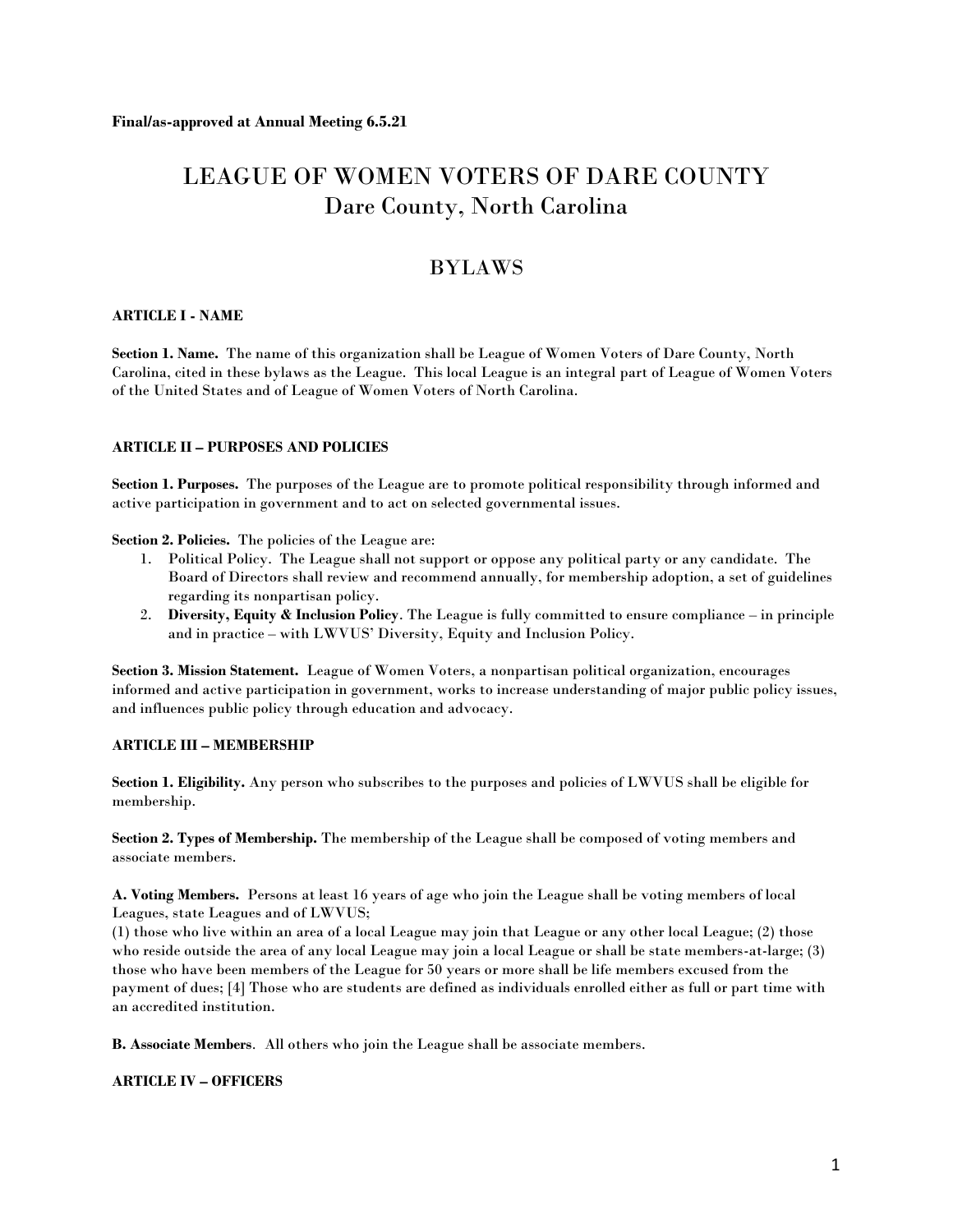# LEAGUE OF WOMEN VOTERS OF DARE COUNTY Dare County, North Carolina

# BYLAWS

# **ARTICLE I - NAME**

**Section 1. Name.** The name of this organization shall be League of Women Voters of Dare County, North Carolina, cited in these bylaws as the League. This local League is an integral part of League of Women Voters of the United States and of League of Women Voters of North Carolina.

# **ARTICLE II – PURPOSES AND POLICIES**

**Section 1. Purposes.** The purposes of the League are to promote political responsibility through informed and active participation in government and to act on selected governmental issues.

**Section 2. Policies.** The policies of the League are:

- 1. Political Policy. The League shall not support or oppose any political party or any candidate. The Board of Directors shall review and recommend annually, for membership adoption, a set of guidelines regarding its nonpartisan policy.
- 2. **Diversity, Equity & Inclusion Policy**. The League is fully committed to ensure compliance in principle and in practice – with LWVUS' Diversity, Equity and Inclusion Policy.

**Section 3. Mission Statement.** League of Women Voters, a nonpartisan political organization, encourages informed and active participation in government, works to increase understanding of major public policy issues, and influences public policy through education and advocacy.

# **ARTICLE III – MEMBERSHIP**

**Section 1. Eligibility.** Any person who subscribes to the purposes and policies of LWVUS shall be eligible for membership.

**Section 2. Types of Membership.** The membership of the League shall be composed of voting members and associate members.

**A. Voting Members.** Persons at least 16 years of age who join the League shall be voting members of local Leagues, state Leagues and of LWVUS;

(1) those who live within an area of a local League may join that League or any other local League; (2) those who reside outside the area of any local League may join a local League or shall be state members-at-large; (3) those who have been members of the League for 50 years or more shall be life members excused from the payment of dues; [4] Those who are students are defined as individuals enrolled either as full or part time with an accredited institution.

**B. Associate Members***.* All others who join the League shall be associate members.

**ARTICLE IV – OFFICERS**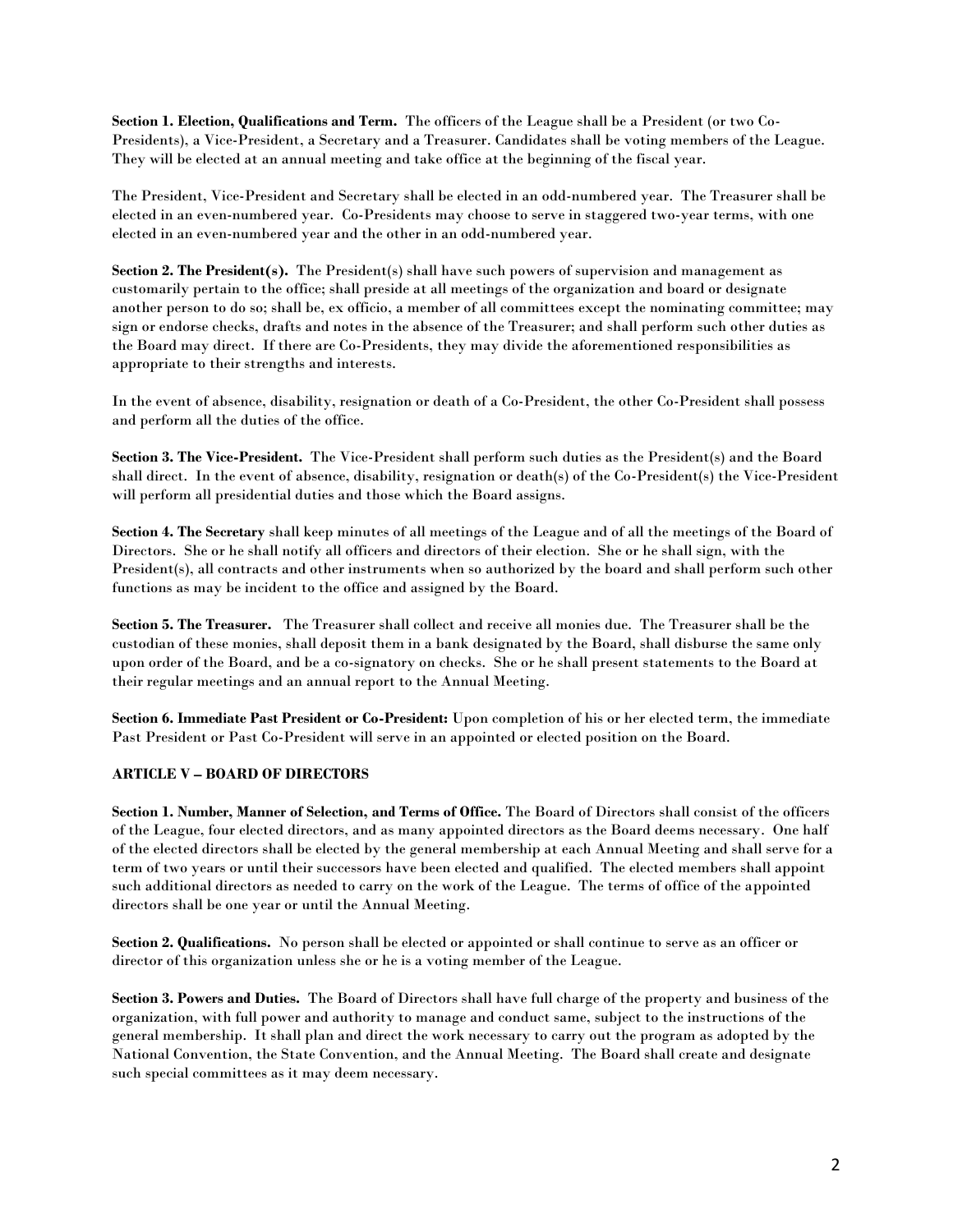**Section 1. Election, Qualifications and Term.** The officers of the League shall be a President (or two Co-Presidents), a Vice-President, a Secretary and a Treasurer. Candidates shall be voting members of the League. They will be elected at an annual meeting and take office at the beginning of the fiscal year.

The President, Vice-President and Secretary shall be elected in an odd-numbered year. The Treasurer shall be elected in an even-numbered year. Co-Presidents may choose to serve in staggered two-year terms, with one elected in an even-numbered year and the other in an odd-numbered year.

**Section 2. The President(s).** The President(s) shall have such powers of supervision and management as customarily pertain to the office; shall preside at all meetings of the organization and board or designate another person to do so; shall be, ex officio, a member of all committees except the nominating committee; may sign or endorse checks, drafts and notes in the absence of the Treasurer; and shall perform such other duties as the Board may direct. If there are Co-Presidents, they may divide the aforementioned responsibilities as appropriate to their strengths and interests.

In the event of absence, disability, resignation or death of a Co-President, the other Co-President shall possess and perform all the duties of the office.

**Section 3. The Vice-President.** The Vice-President shall perform such duties as the President(s) and the Board shall direct. In the event of absence, disability, resignation or death(s) of the Co-President(s) the Vice-President will perform all presidential duties and those which the Board assigns.

**Section 4. The Secretary** shall keep minutes of all meetings of the League and of all the meetings of the Board of Directors. She or he shall notify all officers and directors of their election. She or he shall sign, with the President(s), all contracts and other instruments when so authorized by the board and shall perform such other functions as may be incident to the office and assigned by the Board.

**Section 5. The Treasurer.** The Treasurer shall collect and receive all monies due. The Treasurer shall be the custodian of these monies, shall deposit them in a bank designated by the Board, shall disburse the same only upon order of the Board, and be a co-signatory on checks. She or he shall present statements to the Board at their regular meetings and an annual report to the Annual Meeting.

**Section 6. Immediate Past President or Co-President:** Upon completion of his or her elected term, the immediate Past President or Past Co-President will serve in an appointed or elected position on the Board.

# **ARTICLE V – BOARD OF DIRECTORS**

**Section 1. Number, Manner of Selection, and Terms of Office.** The Board of Directors shall consist of the officers of the League, four elected directors, and as many appointed directors as the Board deems necessary. One half of the elected directors shall be elected by the general membership at each Annual Meeting and shall serve for a term of two years or until their successors have been elected and qualified. The elected members shall appoint such additional directors as needed to carry on the work of the League. The terms of office of the appointed directors shall be one year or until the Annual Meeting.

**Section 2. Qualifications.** No person shall be elected or appointed or shall continue to serve as an officer or director of this organization unless she or he is a voting member of the League.

**Section 3. Powers and Duties.** The Board of Directors shall have full charge of the property and business of the organization, with full power and authority to manage and conduct same, subject to the instructions of the general membership. It shall plan and direct the work necessary to carry out the program as adopted by the National Convention, the State Convention, and the Annual Meeting. The Board shall create and designate such special committees as it may deem necessary.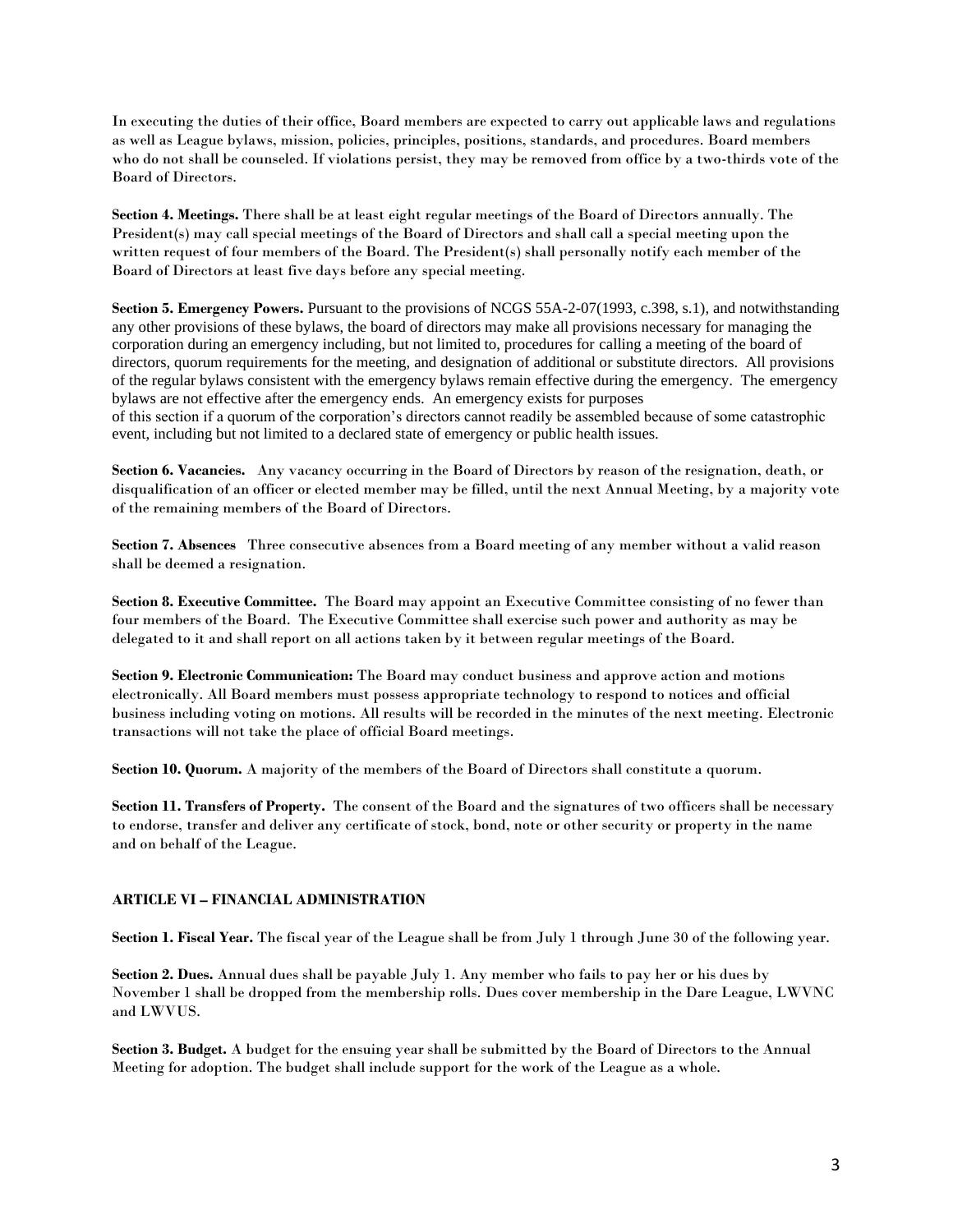In executing the duties of their office, Board members are expected to carry out applicable laws and regulations as well as League bylaws, mission, policies, principles, positions, standards, and procedures. Board members who do not shall be counseled. If violations persist, they may be removed from office by a two-thirds vote of the Board of Directors.

**Section 4. Meetings.** There shall be at least eight regular meetings of the Board of Directors annually. The President(s) may call special meetings of the Board of Directors and shall call a special meeting upon the written request of four members of the Board. The President(s) shall personally notify each member of the Board of Directors at least five days before any special meeting.

**Section 5. Emergency Powers.** Pursuant to the provisions of NCGS 55A-2-07(1993, c.398, s.1), and notwithstanding any other provisions of these bylaws, the board of directors may make all provisions necessary for managing the corporation during an emergency including, but not limited to, procedures for calling a meeting of the board of directors, quorum requirements for the meeting, and designation of additional or substitute directors. All provisions of the regular bylaws consistent with the emergency bylaws remain effective during the emergency. The emergency bylaws are not effective after the emergency ends. An emergency exists for purposes of this section if a quorum of the corporation's directors cannot readily be assembled because of some catastrophic event, including but not limited to a declared state of emergency or public health issues.

**Section 6. Vacancies.** Any vacancy occurring in the Board of Directors by reason of the resignation, death, or disqualification of an officer or elected member may be filled, until the next Annual Meeting, by a majority vote of the remaining members of the Board of Directors.

**Section 7. Absences** Three consecutive absences from a Board meeting of any member without a valid reason shall be deemed a resignation.

**Section 8. Executive Committee.** The Board may appoint an Executive Committee consisting of no fewer than four members of the Board. The Executive Committee shall exercise such power and authority as may be delegated to it and shall report on all actions taken by it between regular meetings of the Board.

**Section 9. Electronic Communication:** The Board may conduct business and approve action and motions electronically. All Board members must possess appropriate technology to respond to notices and official business including voting on motions. All results will be recorded in the minutes of the next meeting. Electronic transactions will not take the place of official Board meetings.

**Section 10. Quorum.** A majority of the members of the Board of Directors shall constitute a quorum.

**Section 11. Transfers of Property.** The consent of the Board and the signatures of two officers shall be necessary to endorse, transfer and deliver any certificate of stock, bond, note or other security or property in the name and on behalf of the League.

#### **ARTICLE VI – FINANCIAL ADMINISTRATION**

**Section 1. Fiscal Year.** The fiscal year of the League shall be from July 1 through June 30 of the following year.

**Section 2. Dues.** Annual dues shall be payable July 1. Any member who fails to pay her or his dues by November 1 shall be dropped from the membership rolls. Dues cover membership in the Dare League, LWVNC and LWVUS.

**Section 3. Budget.** A budget for the ensuing year shall be submitted by the Board of Directors to the Annual Meeting for adoption. The budget shall include support for the work of the League as a whole.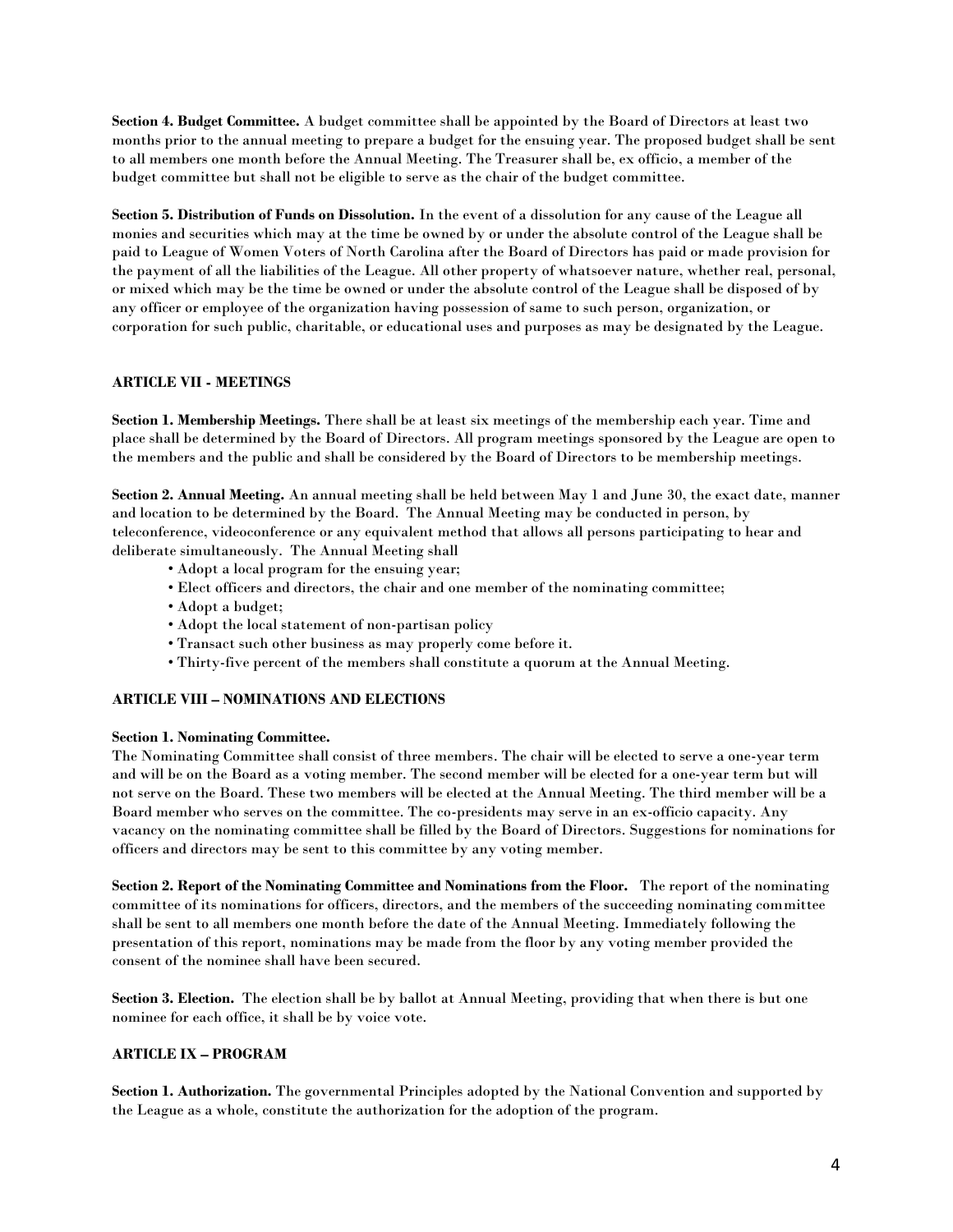**Section 4. Budget Committee.** A budget committee shall be appointed by the Board of Directors at least two months prior to the annual meeting to prepare a budget for the ensuing year. The proposed budget shall be sent to all members one month before the Annual Meeting. The Treasurer shall be, ex officio, a member of the budget committee but shall not be eligible to serve as the chair of the budget committee.

**Section 5. Distribution of Funds on Dissolution.** In the event of a dissolution for any cause of the League all monies and securities which may at the time be owned by or under the absolute control of the League shall be paid to League of Women Voters of North Carolina after the Board of Directors has paid or made provision for the payment of all the liabilities of the League. All other property of whatsoever nature, whether real, personal, or mixed which may be the time be owned or under the absolute control of the League shall be disposed of by any officer or employee of the organization having possession of same to such person, organization, or corporation for such public, charitable, or educational uses and purposes as may be designated by the League.

# **ARTICLE VII - MEETINGS**

**Section 1. Membership Meetings.** There shall be at least six meetings of the membership each year. Time and place shall be determined by the Board of Directors. All program meetings sponsored by the League are open to the members and the public and shall be considered by the Board of Directors to be membership meetings.

**Section 2. Annual Meeting.** An annual meeting shall be held between May 1 and June 30, the exact date, manner and location to be determined by the Board. The Annual Meeting may be conducted in person, by teleconference, videoconference or any equivalent method that allows all persons participating to hear and deliberate simultaneously. The Annual Meeting shall

- Adopt a local program for the ensuing year;
- Elect officers and directors, the chair and one member of the nominating committee;
- Adopt a budget;
- Adopt the local statement of non-partisan policy
- Transact such other business as may properly come before it.
- Thirty-five percent of the members shall constitute a quorum at the Annual Meeting.

#### **ARTICLE VIII – NOMINATIONS AND ELECTIONS**

#### **Section 1. Nominating Committee.**

The Nominating Committee shall consist of three members. The chair will be elected to serve a one-year term and will be on the Board as a voting member. The second member will be elected for a one-year term but will not serve on the Board. These two members will be elected at the Annual Meeting. The third member will be a Board member who serves on the committee. The co-presidents may serve in an ex-officio capacity. Any vacancy on the nominating committee shall be filled by the Board of Directors. Suggestions for nominations for officers and directors may be sent to this committee by any voting member.

**Section 2. Report of the Nominating Committee and Nominations from the Floor.** The report of the nominating committee of its nominations for officers, directors, and the members of the succeeding nominating committee shall be sent to all members one month before the date of the Annual Meeting. Immediately following the presentation of this report, nominations may be made from the floor by any voting member provided the consent of the nominee shall have been secured.

**Section 3. Election.** The election shall be by ballot at Annual Meeting, providing that when there is but one nominee for each office, it shall be by voice vote.

#### **ARTICLE IX – PROGRAM**

**Section 1. Authorization.** The governmental Principles adopted by the National Convention and supported by the League as a whole, constitute the authorization for the adoption of the program.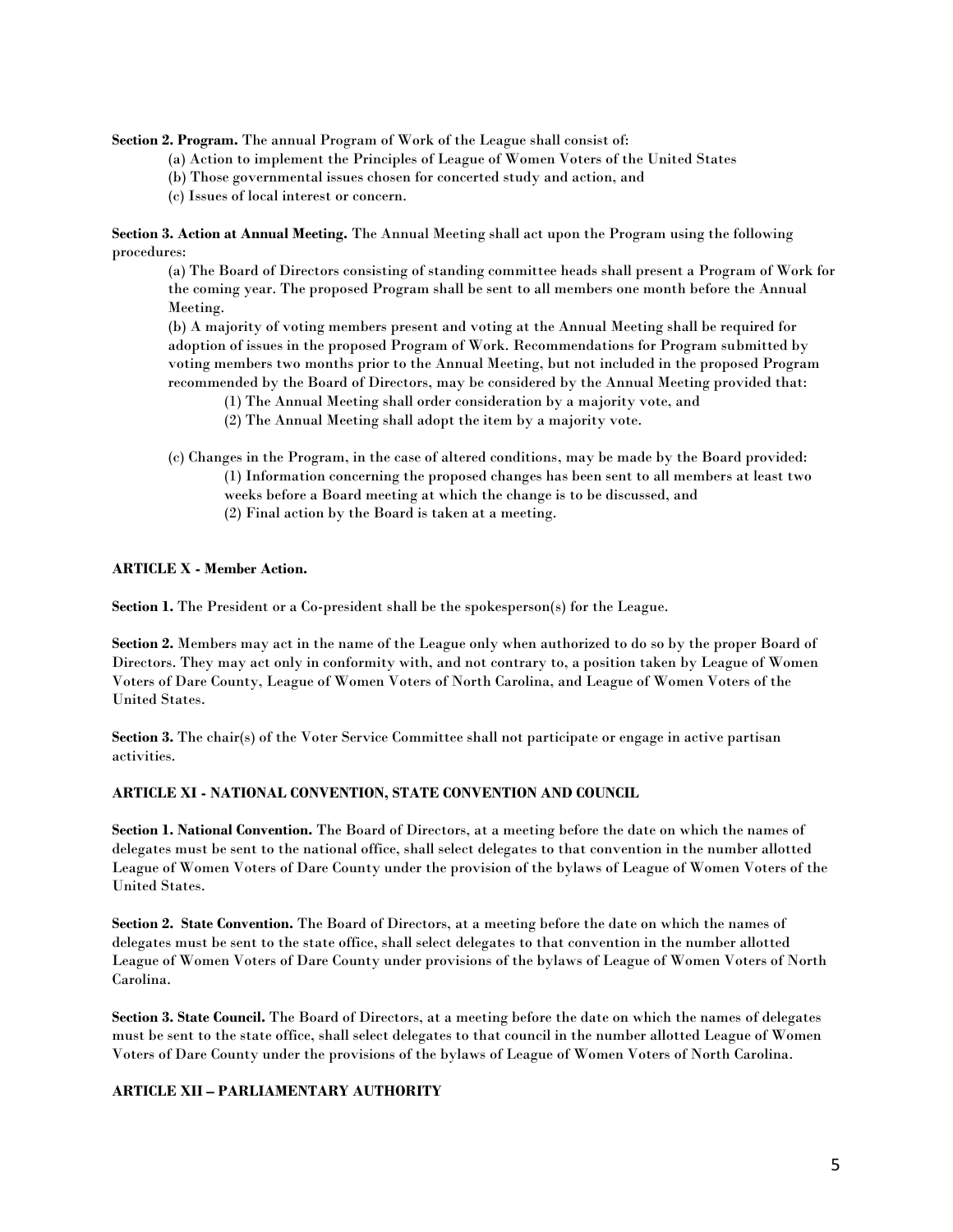**Section 2. Program.** The annual Program of Work of the League shall consist of:

- (a) Action to implement the Principles of League of Women Voters of the United States
- (b) Those governmental issues chosen for concerted study and action, and
- (c) Issues of local interest or concern.

**Section 3. Action at Annual Meeting.** The Annual Meeting shall act upon the Program using the following procedures:

(a) The Board of Directors consisting of standing committee heads shall present a Program of Work for the coming year. The proposed Program shall be sent to all members one month before the Annual Meeting.

(b) A majority of voting members present and voting at the Annual Meeting shall be required for adoption of issues in the proposed Program of Work. Recommendations for Program submitted by voting members two months prior to the Annual Meeting, but not included in the proposed Program recommended by the Board of Directors, may be considered by the Annual Meeting provided that:

- (1) The Annual Meeting shall order consideration by a majority vote, and
- (2) The Annual Meeting shall adopt the item by a majority vote.
- (c) Changes in the Program, in the case of altered conditions, may be made by the Board provided: (1) Information concerning the proposed changes has been sent to all members at least two weeks before a Board meeting at which the change is to be discussed, and (2) Final action by the Board is taken at a meeting.

#### **ARTICLE X - Member Action.**

Section 1. The President or a Co-president shall be the spokesperson(s) for the League.

**Section 2.** Members may act in the name of the League only when authorized to do so by the proper Board of Directors. They may act only in conformity with, and not contrary to, a position taken by League of Women Voters of Dare County, League of Women Voters of North Carolina, and League of Women Voters of the United States.

Section 3. The chair(s) of the Voter Service Committee shall not participate or engage in active partisan activities.

#### **ARTICLE XI - NATIONAL CONVENTION, STATE CONVENTION AND COUNCIL**

**Section 1. National Convention.** The Board of Directors, at a meeting before the date on which the names of delegates must be sent to the national office, shall select delegates to that convention in the number allotted League of Women Voters of Dare County under the provision of the bylaws of League of Women Voters of the United States.

**Section 2. State Convention.** The Board of Directors, at a meeting before the date on which the names of delegates must be sent to the state office, shall select delegates to that convention in the number allotted League of Women Voters of Dare County under provisions of the bylaws of League of Women Voters of North Carolina.

**Section 3. State Council.** The Board of Directors, at a meeting before the date on which the names of delegates must be sent to the state office, shall select delegates to that council in the number allotted League of Women Voters of Dare County under the provisions of the bylaws of League of Women Voters of North Carolina.

#### **ARTICLE XII – PARLIAMENTARY AUTHORITY**